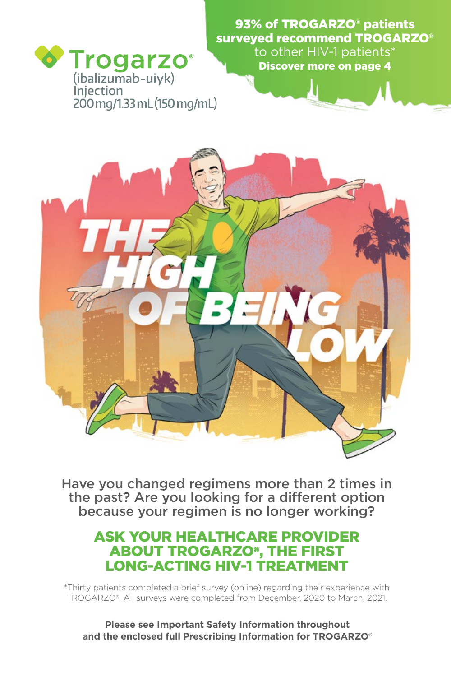

93% of TROGARZO® patients surveyed recommend TROGARZO® to other HIV-1 patients\* Discover more on page 4



Have you changed regimens more than 2 times in the past? Are you looking for a different option because your regimen is no longer working?

### ASK YOUR HEALTHCARE PROVIDER ABOUT TROGARZO®, THE FIRST LONG-ACTING HIV-1 TREATMENT

\*Thirty patients completed a brief survey (online) regarding their experience with TROGARZO®. All surveys were completed from December, 2020 to March, 2021.

**Please see Important Safety Information throughout and the enclosed full Prescribing Information for TROGARZO**®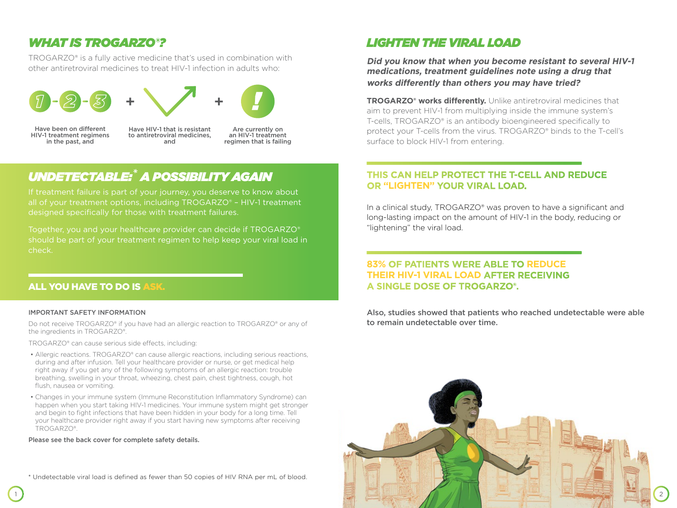### *WHAT IS TROGARZO®?*

TROGARZO® is a fully active medicine that's used in combination with other antiretroviral medicines to treat HIV-1 infection in adults who:



Have been on different HIV-1 treatment regimens in the past, and

Have HIV-1 that is resistant to antiretroviral medicines, and

Are currently on an HIV-1 treatment regimen that is failing

# *UNDETECTABLE:\* A POSSIBILITY AGAIN*

If treatment failure is part of your journey, you deserve to know about all of your treatment options, including TROGARZO® – HIV-1 treatment designed specifically for those with treatment failures.

Together, you and your healthcare provider can decide if TROGARZO® should be part of your treatment regimen to help keep your viral load in check.

### ALL YOU HAVE TO DO IS ASK.

#### IMPORTANT SAFETY INFORMATION

Do not receive TROGARZO® if you have had an allergic reaction to TROGARZO® or any of the ingredients in TROGARZO®.

TROGARZO® can cause serious side effects, including:

- Allergic reactions. TROGARZO® can cause allergic reactions, including serious reactions, during and after infusion. Tell your healthcare provider or nurse, or get medical help right away if you get any of the following symptoms of an allergic reaction: trouble breathing, swelling in your throat, wheezing, chest pain, chest tightness, cough, hot flush, nausea or vomiting.
- Changes in your immune system (Immune Reconstitution Inflammatory Syndrome) can happen when you start taking HIV-1 medicines. Your immune system might get stronger and begin to fight infections that have been hidden in your body for a long time. Tell your healthcare provider right away if you start having new symptoms after receiving TROGARZO®.

Please see the back cover for complete safety details.

\* Undetectable viral load is defined as fewer than 50 copies of HIV RNA per mL of blood.

### *LIGHTEN THE VIRAL LOAD*

**Did you know that when you become resistant to several HIV-1 medications, treatment guidelines note using a drug that works differently than others you may have tried?** 

**TROGARZO® works differently.** Unlike antiretroviral medicines that aim to prevent HIV-1 from multiplying inside the immune system's T-cells, TROGARZO® is an antibody bioengineered specifically to protect your T-cells from the virus. TROGARZO® binds to the T-cell's surface to block HIV-1 from entering.

### **THIS CAN HELP PROTECT THE T-CELL AND REDUCE OR "LIGHTEN" YOUR VIRAL LOAD.**

In a clinical study, TROGARZO® was proven to have a significant and long-lasting impact on the amount of HIV-1 in the body, reducing or "lightening" the viral load.

### **83% OF PATIENTS WERE ABLE TO REDUCE THEIR HIV-1 VIRAL LOAD AFTER RECEIVING A SINGLE DOSE OF TROGARZO®.**

Also, studies showed that patients who reached undetectable were able to remain undetectable over time.

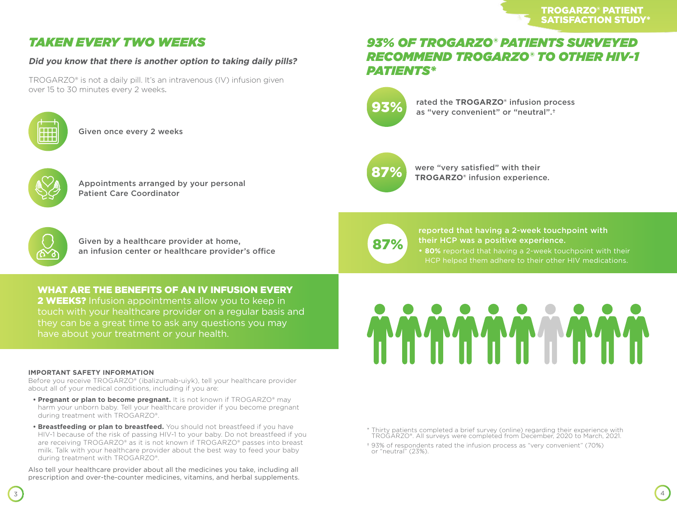# *TAKEN EVERY TWO WEEKS*

### **Did you know that there is another option to taking daily pills?**

TROGARZO® is not a daily pill. It's an intravenous (IV) infusion given over 15 to 30 minutes every 2 weeks.



Given once every 2 weeks



Appointments arranged by your personal Patient Care Coordinator

# *93% OF TROGARZO® PATIENTS SURVEYED RECOMMEND TROGARZO® TO OTHER HIV-1 PATIENTS\**



rated the **TROGARZO<sup>®</sup>** infusion process as "very convenient" or "neutral".<sup>†</sup>



were "very satisfied" with their **TROGARZO®** infusion experience.



Given by a healthcare provider at home, an infusion center or healthcare provider's office



reported that having a 2-week touchpoint with their HCP was a positive experience.

• **80%** reported that having a 2-week touchpoint with their HCP helped them adhere to their other HIV medications.

### WHAT ARE THE BENEFITS OF AN IV INFUSION EVERY

2 WEEKS? Infusion appointments allow you to keep in touch with your healthcare provider on a regular basis and they can be a great time to ask any questions you may have about your treatment or your health.

#### **IMPORTANT SAFETY INFORMATION**

Before you receive TROGARZO® (ibalizumab-uiyk), tell your healthcare provider about all of your medical conditions, including if you are:

- **Pregnant or plan to become pregnant.** It is not known if TROGARZO® may harm your unborn baby. Tell your healthcare provider if you become pregnant during treatment with TROGARZO®.
- **Breastfeeding or plan to breastfeed.** You should not breastfeed if you have HIV-1 because of the risk of passing HIV-1 to your baby. Do not breastfeed if you are receiving TROGARZO® as it is not known if TROGARZO® passes into breast milk. Talk with your healthcare provider about the best way to feed your baby during treatment with TROGARZO®.

Also tell your healthcare provider about all the medicines you take, including all prescription and over-the-counter medicines, vitamins, and herbal supplements.



\* Thirty patients completed a brief survey (online) regarding their experience with TROGARZO®. All surveys were completed from December, 2020 to March, 2021.

† 93% of respondents rated the infusion process as "very convenient" (70%) or "neutral" (23%).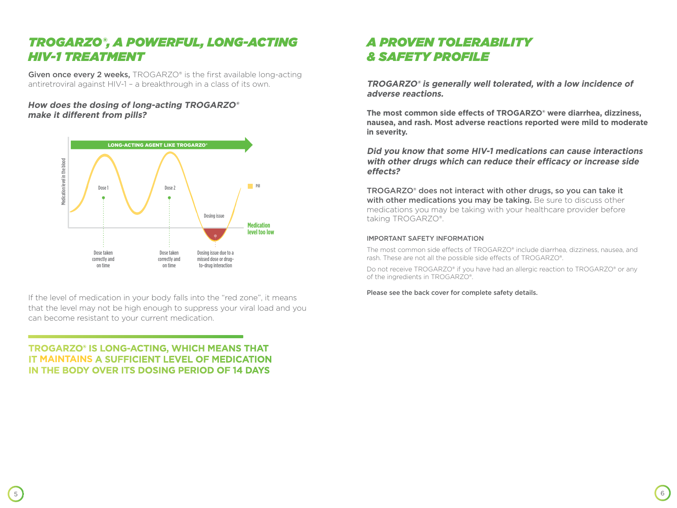# *TROGARZO®, A POWERFUL, LONG-ACTING HIV-1 TREATMENT*

Given once every 2 weeks, TROGARZO® is the first available long-acting antiretroviral against HIV-1 – a breakthrough in a class of its own.

### **How does the dosing of long-acting TROGARZO® make it different from pills?**



If the level of medication in your body falls into the "red zone", it means that the level may not be high enough to suppress your viral load and you can become resistant to your current medication.

### **TROGARZO® IS LONG-ACTING, WHICH MEANS THAT IT MAINTAINS A SUFFICIENT LEVEL OF MEDICATION IN THE BODY OVER ITS DOSING PERIOD OF 14 DAYS**

# *A PROVEN TOLERABILITY & SAFETY PROFILE*

**TROGARZO® is generally well tolerated, with a low incidence of adverse reactions.**

**The most common side effects of TROGARZO® were diarrhea, dizziness, nausea, and rash. Most adverse reactions reported were mild to moderate in severity.** 

**Did you know that some HIV-1 medications can cause interactions with other drugs which can reduce their efficacy or increase side effects?**

TROGARZO® does not interact with other drugs, so you can take it with other medications you may be taking. Be sure to discuss other medications you may be taking with your healthcare provider before taking TROGARZO®.

#### IMPORTANT SAFETY INFORMATION

The most common side effects of TROGARZO® include diarrhea, dizziness, nausea, and rash. These are not all the possible side effects of TROGARZO®.

Do not receive TROGARZO® if you have had an allergic reaction to TROGARZO® or any of the ingredients in TROGARZO®.

Please see the back cover for complete safety details.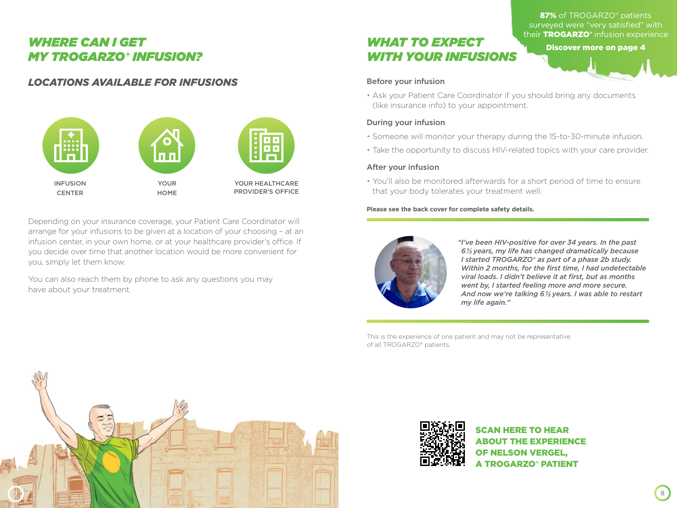# *WHERE CAN I GET MY TROGARZO® INFUSION?*

### *LOCATIONS AVAILABLE FOR INFUSIONS*



Depending on your insurance coverage, your Patient Care Coordinator will arrange for your infusions to be given at a location of your choosing – at an infusion center, in your own home, or at your healthcare provider's office. If you decide over time that another location would be more convenient for you, simply let them know.

You can also reach them by phone to ask any questions you may have about your treatment.

# *WHAT TO EXPECT WITH YOUR INFUSIONS*

87% of TROGARZO® patients surveyed were "very satisfied" with their **TROGARZO®** infusion experience

Discover more on page 4

#### Before your infusion

• Ask your Patient Care Coordinator if you should bring any documents (like insurance info) to your appointment.

### During your infusion

- Someone will monitor your therapy during the 15-to-30-minute infusion.
- Take the opportunity to discuss HIV-related topics with your care provider.

#### After your infusion

• You'll also be monitored afterwards for a short period of time to ensure that your body tolerates your treatment well.

#### **Please see the back cover for complete safety details.**



*"I've been HIV-positive for over 34 years. In the past 6½ years, my life has changed dramatically because I started TROGARZO® as part of a phase 2b study. Within 2 months, for the first time, I had undetectable viral loads. I didn't believe it at first, but as months went by, I started feeling more and more secure. And now we're talking 6½ years. I was able to restart my life again."*

This is the experience of one patient and may not be representative of all TROGARZO® patients.





SCAN HERE TO HEAR ABOUT THE EXPERIENCE OF NELSON VERGEL, A TROGARZO® PATIENT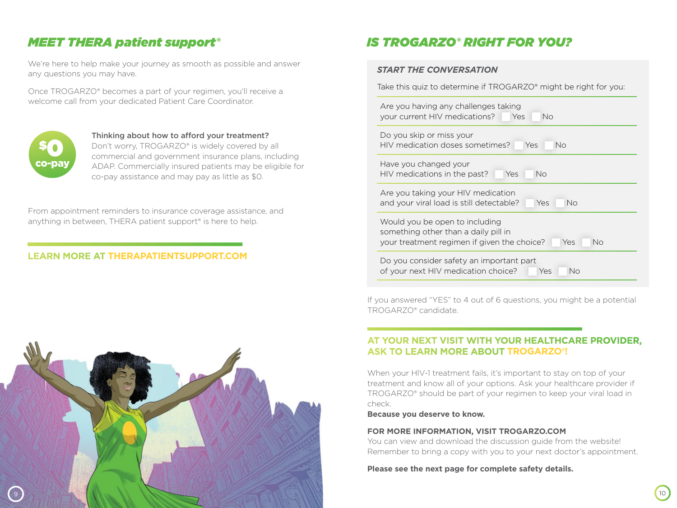# *MEET THERA patient support®*

We're here to help make your journey as smooth as possible and answer any questions you may have.

Once TROGARZO® becomes a part of your regimen, you'll receive a welcome call from your dedicated Patient Care Coordinator.



Thinking about how to afford your treatment? Don't worry, TROGARZO® is widely covered by all commercial and government insurance plans, including ADAP. Commercially insured patients may be eligible for co-pay assistance and may pay as little as \$0.

From appointment reminders to insurance coverage assistance, and anything in between, THERA patient support<sup>®</sup> is here to help.

### **LEARN MORE AT THERAPATIENTSUPPORT.COM**



# *IS TROGARZO® RIGHT FOR YOU?*

#### *START THE CONVERSATION*

Take this quiz to determine if TROGARZO® might be right for you:

| Are you having any challenges taking<br>your current HIV medications?<br>Yes<br>No                                                 |
|------------------------------------------------------------------------------------------------------------------------------------|
| Do you skip or miss your<br>HIV medication doses sometimes?<br>Yes<br>Nο                                                           |
| Have you changed your<br>HIV medications in the past?<br>No<br>Yes                                                                 |
| Are you taking your HIV medication<br>and your viral load is still detectable?<br>No<br>Yes                                        |
| Would you be open to including<br>something other than a daily pill in<br>No<br>your treatment regimen if given the choice?<br>Yes |
| Do you consider safety an important part<br>of your next HIV medication choice?<br>No<br>Yes                                       |

If you answered "YES" to 4 out of 6 questions, you might be a potential TROGARZO® candidate.

### **AT YOUR NEXT VISIT WITH YOUR HEALTHCARE PROVIDER, ASK TO LEARN MORE ABOUT TROGARZO®!**

When your HIV-1 treatment fails, it's important to stay on top of your treatment and know all of your options. Ask your healthcare provider if TROGARZO® should be part of your regimen to keep your viral load in check.

**Because you deserve to know.**

#### **FOR MORE INFORMATION, VISIT TROGARZO.COM**

You can view and download the discussion guide from the website! Remember to bring a copy with you to your next doctor's appointment.

**Please see the next page for complete safety details.**